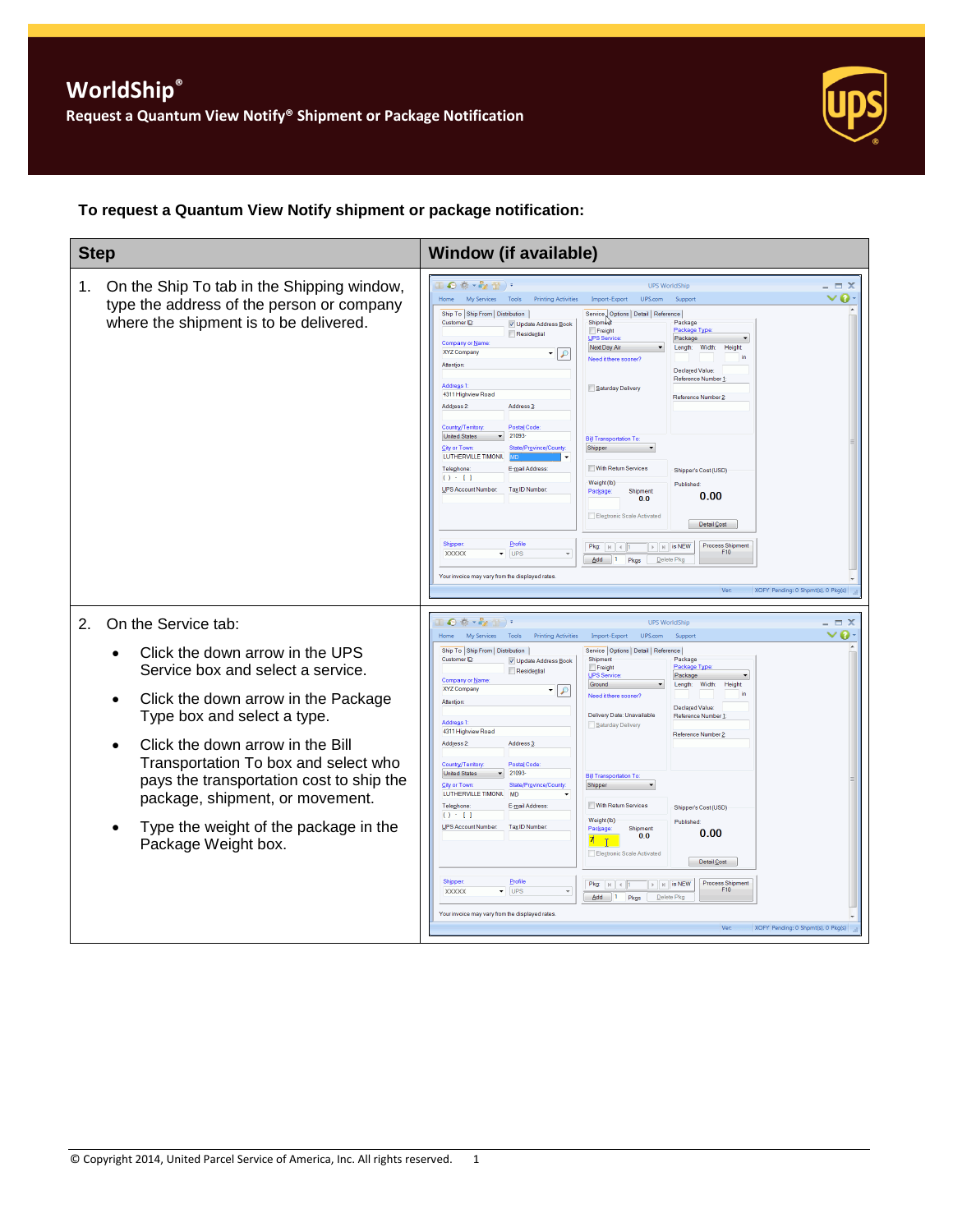

### **To request a Quantum View Notify shipment or package notification:**

| <b>Step</b>                                                                                                                                                                                                                                                                                                                                                                                        | <b>Window (if available)</b>                                                                                                                                                                                                                                                                                                                                                                                                                                                                                                                                                                                                                                                                                                                                                                                                                                                                                                                                                                                                                                                                                                                                                                                                                                                                                                                                                                                                                                                                                                                                                                                                                                         |  |
|----------------------------------------------------------------------------------------------------------------------------------------------------------------------------------------------------------------------------------------------------------------------------------------------------------------------------------------------------------------------------------------------------|----------------------------------------------------------------------------------------------------------------------------------------------------------------------------------------------------------------------------------------------------------------------------------------------------------------------------------------------------------------------------------------------------------------------------------------------------------------------------------------------------------------------------------------------------------------------------------------------------------------------------------------------------------------------------------------------------------------------------------------------------------------------------------------------------------------------------------------------------------------------------------------------------------------------------------------------------------------------------------------------------------------------------------------------------------------------------------------------------------------------------------------------------------------------------------------------------------------------------------------------------------------------------------------------------------------------------------------------------------------------------------------------------------------------------------------------------------------------------------------------------------------------------------------------------------------------------------------------------------------------------------------------------------------------|--|
| On the Ship To tab in the Shipping window,<br>1.<br>type the address of the person or company<br>where the shipment is to be delivered.                                                                                                                                                                                                                                                            | Ⅱ●☆・☆☆<br><b>UPS WorldShip</b><br>$\Box$ $X$<br>ø<br>Home<br>My Services<br><b>Printing Activities</b><br>Import-Export<br>UPS.com<br>Tools<br>Support<br>Ship To Ship From Distribution<br>Service, Options   Detail   Reference<br>Customer ID<br>Shipmen<br>Package<br>V Update Address Book<br>Package Type<br>Freight<br>Residential<br>Package<br><b>UPS Service</b><br>Company or Name<br>Next Day Air<br>Width:<br>Height<br>Length:<br>XYZ Company<br>$\cdot \rho$<br>Need it there sooner<br>Attention<br><b>Declared Value</b><br>Reference Number 1<br>Address <sub>1</sub><br>Saturday Delivery<br>4311 Highview Road<br>Reference Number 2<br>Address <sub>3</sub><br>Address <sub>2</sub><br><b>Postal Code</b><br>Country/Territory<br>21093<br><b>United States</b><br><b>Bill Transportation To</b><br><b>City or Town</b><br>Shipper<br>State/Province/Count<br>LUTHERVILLE TIMONIL<br>With Return Services<br>Telephone:<br>E-mail Address:<br>Shipper's Cost (USD)<br>$O \cdot 11$<br>Weight (lb)<br>Published:<br><b>UPS Account Number:</b><br>Tax ID Number<br>Package<br>Shipment<br>0.00<br>0 <sub>0</sub><br>Electronic Scale Activated<br>Detail Cost<br>Shipper<br>Profile<br><b>Process Shipment</b><br>Pkg: $\vert \mu \vert \vert$ + 1<br>$\rightarrow$ $\parallel$ $\parallel$ is NEW<br>F10<br>XXXXX<br>$\blacktriangledown$ UPS<br>$Add$ 1<br>Pkgs<br>Delete Pkc<br>Your invoice may vary from the displayed rates<br>XOFY Pending: 0 Shpmt(s), 0 Pkg(s)                                                                                                                                                                          |  |
| On the Service tab:<br>2.<br>Click the down arrow in the UPS<br>Service box and select a service.<br>Click the down arrow in the Package<br>Type box and select a type.<br>Click the down arrow in the Bill<br>Transportation To box and select who<br>pays the transportation cost to ship the<br>package, shipment, or movement.<br>Type the weight of the package in the<br>Package Weight box. | $\bullet$ $\bullet$ $\bullet$ $\bullet$ $\bullet$ $\bullet$ $\bullet$ $\bullet$<br><b>UPS WorldShip</b><br>$\equiv$ $\times$<br>a<br>My Services<br>Tools<br><b>Printing Activities</b><br>UPS.com<br>Home<br>Import-Export<br>Support<br>Ship To Ship From   Distribution  <br>Service   Options   Detail   Reference  <br>Customer ID<br>Shipment<br>Package<br>V Update Address Book<br>Freight<br>Package Type<br>Residential<br><b>JPS Service</b><br>Package<br>Company or Name<br>Ground<br>Length:<br>Width:<br>Height<br>XYZ Company<br>$\cdot \mid \rho$<br>Need it there sooner?<br>Attention<br><b>Declared Value</b><br>Delivery Date: Unavailable<br>Reference Number<br><b>Address 1</b><br>Saturday Delivery<br>4311 Highview Road<br>Reference Number 2<br>Address <sub>2</sub> :<br>Address 3<br><b>Postal Code</b><br>Country/Territory<br>21093<br><b>United States</b><br><b>Bill Transportation To</b><br><b>City or Town</b><br>State/Province/County<br>Shipper<br>LUTHERVILLE TIMONIL<br>MD<br><b>Telephone:</b><br>E-mail Address:<br>With Return Services<br>Shipper's Cost (USD)<br>() : []<br>Weight (lb)<br>Published:<br><b>UPS Account Number</b><br>Tax ID Number<br>Package<br>Shipment<br>0.00<br>0 <sub>0</sub><br>7 T<br>Electronic Scale Activated<br>Detail Cost<br>Profile<br>Shipper<br><b>Process Shipment</b><br>$\triangleright$ $\parallel$ $\parallel$ is NEW<br>$Pkg:  N  + 1$<br>F <sub>10</sub><br><b>XXXXX</b><br>$\overline{\phantom{a}}$ UPS<br>$\checkmark$<br>$\overline{\mathsf{Add}}$ 1<br>Pkgs<br>Delete Pkc<br>Your invoice may vary from the displayed rates<br>XOFY Pending: 0 Shpmt(s), 0 Pkg(s)<br>Ver |  |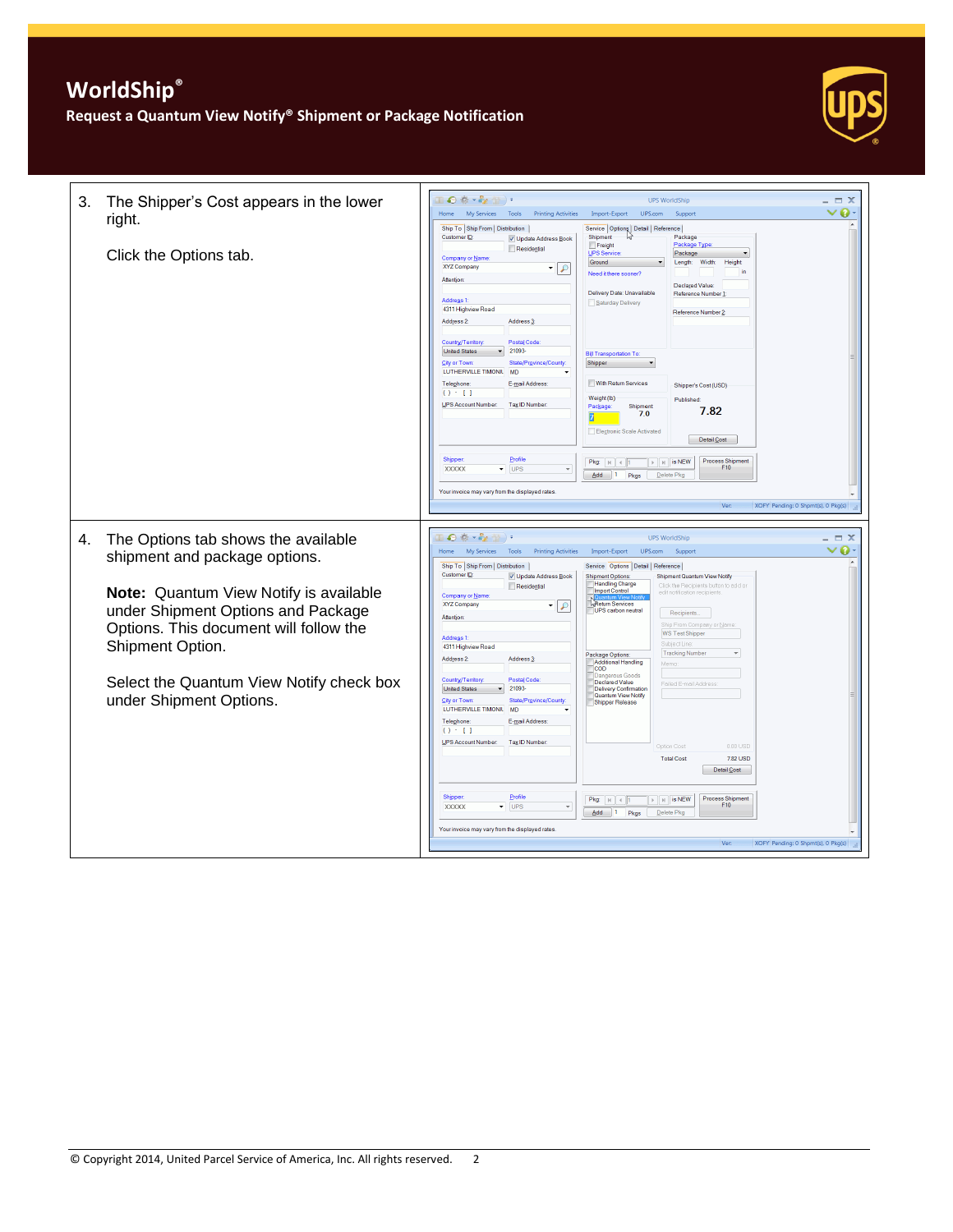

| 3. | The Shipper's Cost appears in the lower                                                                                                    | $\blacksquare$ $\bigcirc$ $\stackrel{a}{\otimes}$ $\cdots$ $\stackrel{a}{\otimes}$ $\cdots$ $\stackrel{a}{\otimes}$ $\cdots$ $\stackrel{a}{\otimes}$<br><b>UPS WorldShip</b>                                                                                                                                                                                                                                                                                                                                                                                                                                          | $\Box$ $\times$                |
|----|--------------------------------------------------------------------------------------------------------------------------------------------|-----------------------------------------------------------------------------------------------------------------------------------------------------------------------------------------------------------------------------------------------------------------------------------------------------------------------------------------------------------------------------------------------------------------------------------------------------------------------------------------------------------------------------------------------------------------------------------------------------------------------|--------------------------------|
|    | right.                                                                                                                                     | My Services Tools<br>Home<br><b>Printing Activities</b><br>Import-Export<br>UPS.com<br>Support                                                                                                                                                                                                                                                                                                                                                                                                                                                                                                                        | ▽ດ                             |
|    | Click the Options tab.                                                                                                                     | Ship To Ship From Distribution<br>Service   Options   Detail   Reference  <br>Shipment<br>Customer ID:<br>Package<br>V Update Address Book<br>Package Type<br>Freight<br>Residential<br><b>JPS Service</b><br>Package<br>Company or Name<br>Ground<br>Width:<br>Height<br>Length:<br>XYZ Company<br>▾<br>$\mathcal{L}$<br>in<br>Need it there sooner?<br>Attention<br><b>Declared Value</b><br>Delivery Date: Unavailable<br>Reference Number 1<br><b>Address 1</b><br>Saturday Delivery<br>4311 Highview Road<br>Reference Number 2<br>Address 2:<br>Address <sub>3</sub><br>Country/Territory<br><b>Postal Code</b> |                                |
|    |                                                                                                                                            | 21093-<br><b>United States</b><br><b>Bill Transportation To</b><br><b>City or Town</b><br>State/Province/County<br>Shipper<br>LUTHERVILLE TIMONIL<br><b>MD</b><br>With Return Services<br>Telephone:<br>E-mail Address:<br>Shipper's Cost (USD)<br>$() - 1$<br>Weight (lb)<br>Published<br>UPS Account Number:<br>Tax ID Number<br>Shipment<br>Package:<br>7.82<br>7.0<br>Electronic Scale Activated<br>Detail Cost                                                                                                                                                                                                   |                                |
|    |                                                                                                                                            | Profile<br>Shipper<br><b>Process Shipment</b><br>$\triangleright$   $\triangleright$   is NEW<br>Pkg: $ k $ $\leq$ 1<br>F10<br><b>XXXXX</b><br>$\bar{\mathbf{v}}$<br><b>UPS</b><br>$\overline{\phantom{a}}$<br>$\overline{\mathsf{Add}}$ 1<br>Pkgs<br>Delete Pkg<br>Your invoice may vary from the displayed rates<br>Ver<br>XOFY Pending: 0 Shpmt(s), 0 Pkg(s)                                                                                                                                                                                                                                                       |                                |
|    |                                                                                                                                            |                                                                                                                                                                                                                                                                                                                                                                                                                                                                                                                                                                                                                       |                                |
| 4. | The Options tab shows the available<br>shipment and package options.                                                                       | $\blacksquare \bullet \bullet \bullet \bullet \bullet \blacksquare$<br><b>UPS WorldShip</b><br>My Services<br>Home<br>Tools<br><b>Printing Activities</b><br>Import-Export<br>UPS.com<br>Support<br>Ship To Ship From Distribution<br>Service Options Detail Reference                                                                                                                                                                                                                                                                                                                                                | $\equiv$ $\times$<br>$\bullet$ |
|    | Note: Quantum View Notify is available<br>under Shipment Options and Package<br>Options. This document will follow the<br>Shipment Option. | Customer ID:<br>V Update Address Book<br><b>Shipment Options:</b><br><b>Shipment Quantum View Notify</b><br><b>Handling Charge</b><br>Residential<br>Click the Recipients button to add or<br><b>Import Control</b><br>edit notification recipients<br>Company or Name<br>Return Services<br>XYZ Company<br>$\mathcal{L}$<br><b>UPS</b> carbon neutral<br>Recipients<br>Attention<br>Ship From Company or Name<br><b>WS Test Shipper</b><br>Address 1:<br><b>Subject</b> Line<br>4311 Highview Road<br><b>Tracking Number</b><br>Package Options:<br>Address 3:<br>Address 2:<br>Additional Handling<br>Memo          |                                |
|    | Select the Quantum View Notify check box<br>under Shipment Options.                                                                        | <b>COD</b><br><b>is Goods</b><br><b>Postal Code</b><br>Country/Territory<br>Declared Value<br>Failed E-mail Addres<br>21093<br><b>United States</b><br><b>Delivery Confirmation</b><br>Quantum View Notify<br>City or Town:<br>State/Province/County<br>Shipper Release<br>LUTHERVILLE TIMONIL<br><b>MD</b><br>Telephone:<br>E-mail Address:<br>$() - 1]$<br>UPS Account Number:<br>Tax ID Number<br>n nn usp<br>Option Cost<br><b>Total Cost</b><br>7.82 USD<br>Detail Cost                                                                                                                                          |                                |
|    |                                                                                                                                            | Profile<br>Shipper<br><b>Process Shipment</b><br>$\triangleright$   $\triangleright$   is NEW<br>Pkg: $\vert \mu \vert \vert$ $\vert \vert$ 1<br>F10<br><b>XXXXX</b><br>$\blacktriangledown$ UPS<br>$\mathbf{v}$                                                                                                                                                                                                                                                                                                                                                                                                      |                                |
|    |                                                                                                                                            | $Add \t1$<br>Delete Pkg<br>Pkgs<br>Your invoice may vary from the displayed rates<br>XOFY Pending: 0 Shpmt(s), 0 Pkg(s)<br>Ver:                                                                                                                                                                                                                                                                                                                                                                                                                                                                                       |                                |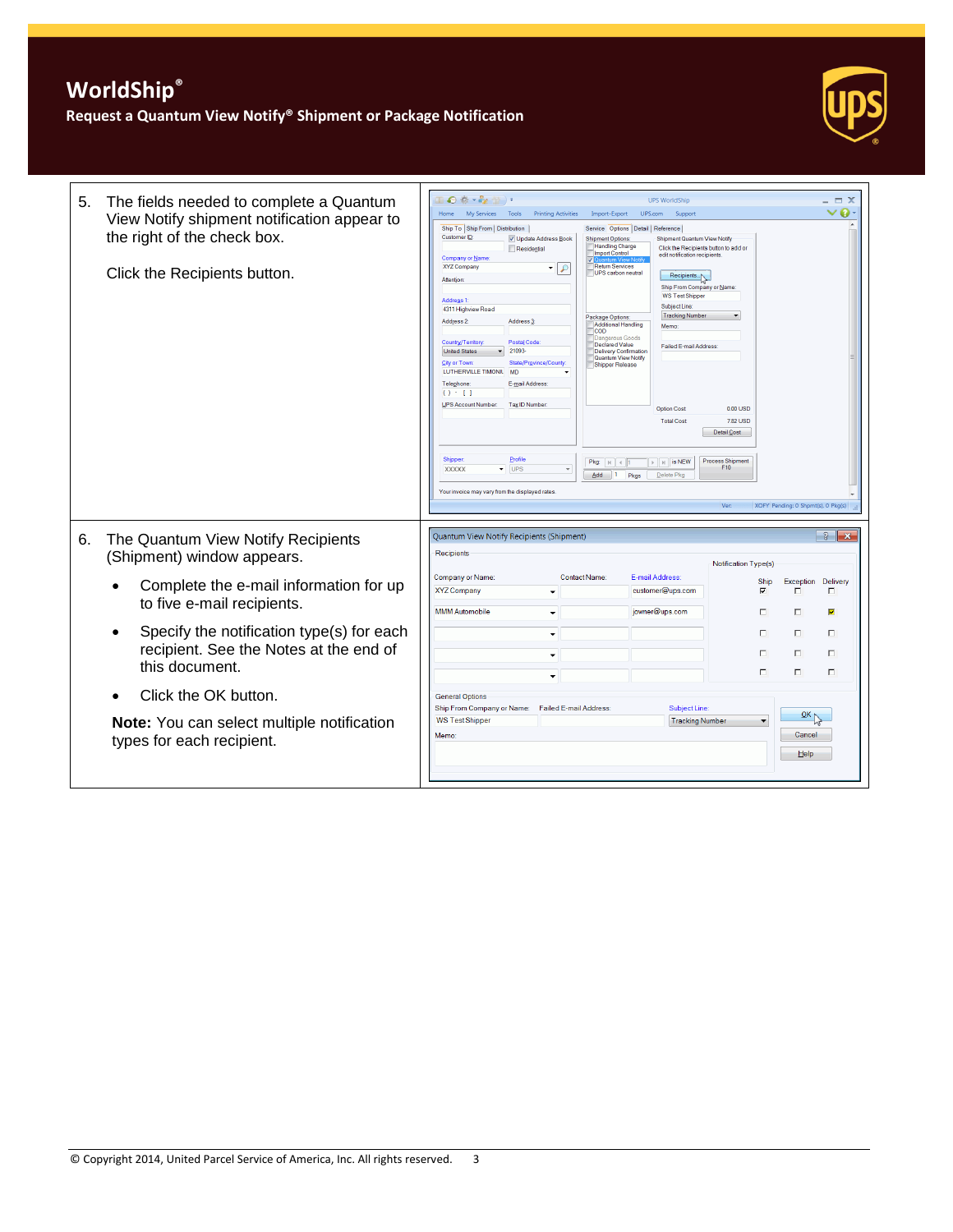

| 5. | The fields needed to complete a Quantum<br>View Notify shipment notification appear to<br>the right of the check box.<br>Click the Recipients button. | Ⅱ◎卷・を置→<br><b>UPS WorldShip</b><br>My Services<br>UPS.com<br>Tools<br><b>Printing Activities</b><br>Import-Export<br>Support<br><b>Home</b><br>Ship To Ship From   Distribution<br>Service Options   Detail   Reference<br>Customer ID:<br>V Update Address Book<br><b>Shipment Options:</b><br>Shipment Quantum View Notify<br><b>Handling Charge</b><br>Residential<br>Click the Recipients button to add or<br><b>Import Control</b><br>edit notification recipients<br>Company or Name<br><b>Return Services</b><br>XYZ Company<br>$\sqrt{2}$<br>$\overline{\phantom{a}}$<br>UPS carbon neutral<br>Recipients<br>Attention<br>Ship From Company or Name:<br><b>WS Test Shipper</b><br>Address 1:<br>Subject Line:<br>4311 Highview Road<br><b>Tracking Number</b><br>Package Options:<br>Address 2:<br>Address <sub>3</sub><br>Additional Handling<br>Memo<br><b>COD</b><br>ius Goods<br>Postal Code<br>Country/Territory<br>Declared Value<br>Failed E-mail Address:<br>21093<br><b>United States</b><br>Delivery Confirmation<br>Quantum View Notify<br><b>City or Town:</b><br>State/Province/County<br>Shipper Release<br>LUTHERVILLE TIMONIL<br>MD<br>Telephone:<br>E-mail Address:<br>$() \cdot 1$<br>UPS Account Number:<br>Tax ID Number:<br>0.00 USD<br><b>Option Cost</b><br>7.82 USD<br><b>Total Cost</b><br>Detail Cost<br>Profile<br>Shipper<br><b>Process Shipment</b><br>$\triangleright$   $\parallel$   is NEW<br>Pkg: $ k $ $\leq$ 1<br>F10<br>$\overline{\phantom{a}}$ UPS<br><b>XXXXX</b><br>$\mathbf{v}$<br>Add<br>$\blacksquare$<br>Pkgs<br>Delete Pkg<br>Your invoice may vary from the displayed rates.<br>Ver:<br>XOFY Pending: 0 Shpmt(s), 0 Pkg(s) | $ \Box$ $\times$<br>$\vee$ 0        |
|----|-------------------------------------------------------------------------------------------------------------------------------------------------------|-----------------------------------------------------------------------------------------------------------------------------------------------------------------------------------------------------------------------------------------------------------------------------------------------------------------------------------------------------------------------------------------------------------------------------------------------------------------------------------------------------------------------------------------------------------------------------------------------------------------------------------------------------------------------------------------------------------------------------------------------------------------------------------------------------------------------------------------------------------------------------------------------------------------------------------------------------------------------------------------------------------------------------------------------------------------------------------------------------------------------------------------------------------------------------------------------------------------------------------------------------------------------------------------------------------------------------------------------------------------------------------------------------------------------------------------------------------------------------------------------------------------------------------------------------------------------------------------------------------------------------------------------------------------------------------|-------------------------------------|
| 6. | The Quantum View Notify Recipients<br>(Shipment) window appears.                                                                                      | Quantum View Notify Recipients (Shipment)<br>Recipients<br>Notification Type(s)                                                                                                                                                                                                                                                                                                                                                                                                                                                                                                                                                                                                                                                                                                                                                                                                                                                                                                                                                                                                                                                                                                                                                                                                                                                                                                                                                                                                                                                                                                                                                                                                   | $\left  \cdot \right $ $\mathbf{x}$ |
|    | Complete the e-mail information for up<br>to five e-mail recipients.                                                                                  | Company or Name:<br>E-mail Address:<br>Contact Name:<br>Exception<br>Ship                                                                                                                                                                                                                                                                                                                                                                                                                                                                                                                                                                                                                                                                                                                                                                                                                                                                                                                                                                                                                                                                                                                                                                                                                                                                                                                                                                                                                                                                                                                                                                                                         | Delivery                            |
|    |                                                                                                                                                       | <b>XYZ Company</b><br>customer@ups.com<br>$\overline{\mathbf{v}}$<br>п<br>$\checkmark$                                                                                                                                                                                                                                                                                                                                                                                                                                                                                                                                                                                                                                                                                                                                                                                                                                                                                                                                                                                                                                                                                                                                                                                                                                                                                                                                                                                                                                                                                                                                                                                            | п                                   |
|    |                                                                                                                                                       | <b>MMM Automobile</b><br>jowner@ups.com<br>П.<br>п<br>$\overline{\phantom{a}}$                                                                                                                                                                                                                                                                                                                                                                                                                                                                                                                                                                                                                                                                                                                                                                                                                                                                                                                                                                                                                                                                                                                                                                                                                                                                                                                                                                                                                                                                                                                                                                                                    | Ø                                   |
|    | Specify the notification type(s) for each<br>$\bullet$                                                                                                | п<br>п.<br>$\cdot$                                                                                                                                                                                                                                                                                                                                                                                                                                                                                                                                                                                                                                                                                                                                                                                                                                                                                                                                                                                                                                                                                                                                                                                                                                                                                                                                                                                                                                                                                                                                                                                                                                                                | П.                                  |
|    | recipient. See the Notes at the end of<br>this document.                                                                                              | П.<br>п<br>$\overline{\phantom{a}}$                                                                                                                                                                                                                                                                                                                                                                                                                                                                                                                                                                                                                                                                                                                                                                                                                                                                                                                                                                                                                                                                                                                                                                                                                                                                                                                                                                                                                                                                                                                                                                                                                                               | $\Box$                              |
|    |                                                                                                                                                       | $\Box$<br>п<br>$\overline{\phantom{0}}$                                                                                                                                                                                                                                                                                                                                                                                                                                                                                                                                                                                                                                                                                                                                                                                                                                                                                                                                                                                                                                                                                                                                                                                                                                                                                                                                                                                                                                                                                                                                                                                                                                           | П                                   |
|    | Click the OK button.                                                                                                                                  | <b>General Options</b><br>Ship From Company or Name:<br>Failed E-mail Address:<br>Subject Line:                                                                                                                                                                                                                                                                                                                                                                                                                                                                                                                                                                                                                                                                                                                                                                                                                                                                                                                                                                                                                                                                                                                                                                                                                                                                                                                                                                                                                                                                                                                                                                                   |                                     |
|    | Note: You can select multiple notification<br>types for each recipient.                                                                               | $\frac{QK}{V}$<br><b>WS Test Shipper</b><br><b>Tracking Number</b><br>Cancel<br>Memo:<br>Help                                                                                                                                                                                                                                                                                                                                                                                                                                                                                                                                                                                                                                                                                                                                                                                                                                                                                                                                                                                                                                                                                                                                                                                                                                                                                                                                                                                                                                                                                                                                                                                     |                                     |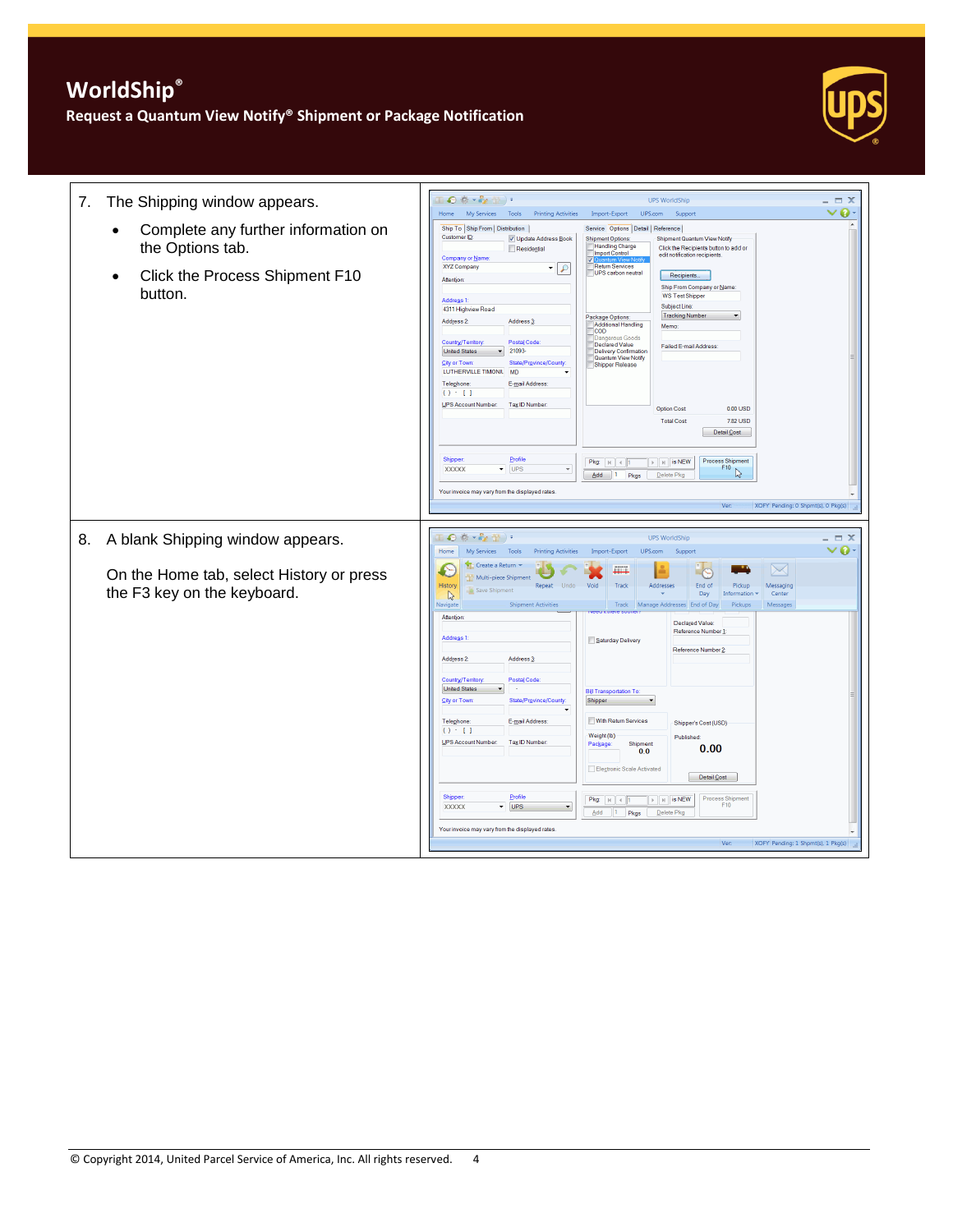

| The Shipping window appears.<br>7.                                                                                             | $\bullet$ $\bullet$ $\bullet$ $\bullet$ $\bullet$ $\bullet$ $\bullet$ $\bullet$<br><b>UPS WorldShip</b><br>$\Box$ $X$<br>My Services<br>Tools<br><b>Printing Activities</b><br>Import-Export<br>UPS.com<br>o<br>Home<br>Support                                                                                                                                                                                                                                                                                                                                                                                                                                                                                                                                                                                                                                                                                                                                                                                                                                                                                                                                                                                                                                                                                                                                                                                                                                                                                                                                     |
|--------------------------------------------------------------------------------------------------------------------------------|---------------------------------------------------------------------------------------------------------------------------------------------------------------------------------------------------------------------------------------------------------------------------------------------------------------------------------------------------------------------------------------------------------------------------------------------------------------------------------------------------------------------------------------------------------------------------------------------------------------------------------------------------------------------------------------------------------------------------------------------------------------------------------------------------------------------------------------------------------------------------------------------------------------------------------------------------------------------------------------------------------------------------------------------------------------------------------------------------------------------------------------------------------------------------------------------------------------------------------------------------------------------------------------------------------------------------------------------------------------------------------------------------------------------------------------------------------------------------------------------------------------------------------------------------------------------|
| Complete any further information on<br>$\bullet$<br>the Options tab.<br>Click the Process Shipment F10<br>$\bullet$<br>button. | Ship To Ship From   Distribution<br>Service Options Detail Reference<br>Customer ID:<br>V Update Address Book<br><b>Shipment Options:</b><br>Shipment Quantum View Notify<br><b>Handling Charge</b><br>Click the Recipients button to add or<br>Residential<br><b>Import Control</b><br>edit notification recipients<br>Company or Name<br>Return Services<br>XYZ Company<br>$\overline{\phantom{a}}$<br>$\mathcal{L}$<br>UPS carbon neutral<br>Recipients<br>Attention:<br>Ship From Company or Name:<br><b>WS Test Shipper</b><br>Address <sub>1</sub><br>Subject Line:<br>4311 Highview Road<br><b>Tracking Number</b><br>Package Options:<br>Address 2:<br>Address <sub>3</sub> :<br>Additional Handling<br>Memo:<br><b>COD</b><br>angerous Goods<br>Country/Territory:<br>Postal Code<br>Declared Value<br><b>Failed F-mail Address:</b><br><b>United States</b><br>21093<br>Delivery Confirmation<br>Quantum View Notify<br>City or Town:<br>State/Province/County<br>Shipper Release<br>LUTHERVILLE TIMONIL<br>MD<br>E-mail Address:<br>Telephone<br>$() \cdot 1$<br><b>UPS Account Number:</b><br>Tax ID Number<br>$0.00$ USD<br><b>Option Cost</b><br>7.82 USD<br><b>Total Cost</b><br>Detail Cost<br>Profile<br>Shipper<br><b>Process Shipment</b><br>$\triangleright$   $\parallel$   is NEW<br>Pkg: $\vert \mu \vert \vert$ $\vert \vert$ 1<br>F10<br>$\blacktriangledown$ UPS<br>$\mathbf{v}$<br><b>XXXXX</b><br>r,<br>Delete Pkg<br>$Add \t1$<br>Pkgs<br>Your invoice may vary from the displayed rates<br>Ver:<br>XOFY Pending: 0 Shpmt(s), 0 Pkg(s) |
| A blank Shipping window appears.<br>8.                                                                                         | $\Theta$ $\Phi$ $\star$ $\mathcal{E}_Z$ $\mathcal{D}$ $)$ $\star$<br><b>UPS WorldShip</b><br>$ \Box$ $\times$<br>$\bullet$<br>Home<br>My Services<br>Tools<br><b>Printing Activities</b><br>Import-Export<br>UPS.com<br>v<br>Support                                                                                                                                                                                                                                                                                                                                                                                                                                                                                                                                                                                                                                                                                                                                                                                                                                                                                                                                                                                                                                                                                                                                                                                                                                                                                                                                |
| On the Home tab, select History or press<br>the F3 key on the keyboard.                                                        | Create a Return<br>$\searrow$<br>ЩL<br>Multi-piece Shipment<br>History<br>Void<br>End of<br>Pickup<br>Messaging<br>Repeat<br>Undo<br>Track<br>Addresses<br><b>Save Shipment</b><br>Day<br>Center<br>Information<br>$\mathbb{R}$<br><b>Shipment Activities</b><br>Track Manage Addresses End of Day<br>Pickups<br>Messages<br>Navigate                                                                                                                                                                                                                                                                                                                                                                                                                                                                                                                                                                                                                                                                                                                                                                                                                                                                                                                                                                                                                                                                                                                                                                                                                               |
|                                                                                                                                | Attention<br>Declared Value:<br>Reference Number 1:<br>Address <sub>1</sub><br>Saturday Delivery<br>Reference Number 2:<br>Address 2:<br>Address 3:<br>Country/Territory<br><b>Postal Code</b><br><b>United States</b><br><b>Bill Transportation To</b><br>Shipper<br>City or Town<br>State/Province/County<br>With Return Services<br>Telephone:<br>E-mail Address:<br>Shipper's Cost (USD)<br>$() - 1$<br>Weight (lb)<br>Published:<br>UPS Account Number:<br>Tax ID Number<br>Package<br>Shipment<br>0.00<br>0.0<br>Electronic Scale Activated<br>Detail Cost<br>Shipper<br>Profile<br>$\mathbb{F}$   $\mathbb{H}$   is NEW<br><b>Process Shipment</b><br>Pkg:  A    4<br>F10<br><b>XXXXX</b><br><b>UPS</b><br>۰<br>Add<br>$\vert$ 1<br>Pkgs<br>Delete Pkg                                                                                                                                                                                                                                                                                                                                                                                                                                                                                                                                                                                                                                                                                                                                                                                                       |
|                                                                                                                                | Your invoice may vary from the displayed rates<br>XOFY Pending: 1 Shpmt(s), 1 Pkg(s)<br>Ver:                                                                                                                                                                                                                                                                                                                                                                                                                                                                                                                                                                                                                                                                                                                                                                                                                                                                                                                                                                                                                                                                                                                                                                                                                                                                                                                                                                                                                                                                        |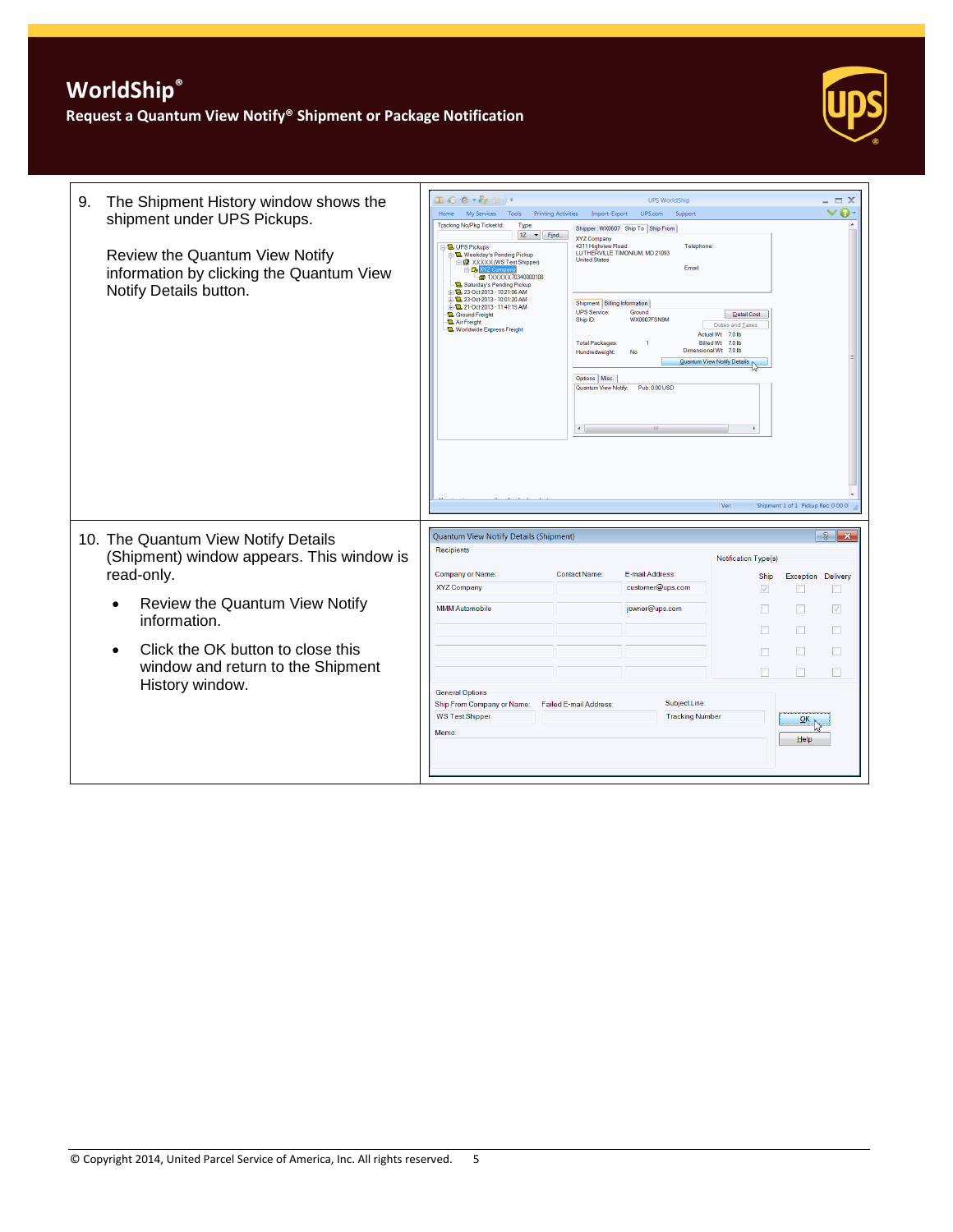

| The Shipment History window shows the<br>9.<br>shipment under UPS Pickups.<br>Review the Quantum View Notify<br>information by clicking the Quantum View<br>Notify Details button.                                                            | Ⅱ◎※・☆ (1)・<br><b>UPS WorldShip</b><br>Home My Services<br><b>Printing Activities</b><br>UPS.com<br>Tools<br>Import-Export<br>Support<br>Tracking No/Pkg Ticket Id:<br>Type:<br>Shipper: WX0607 Ship To Ship From<br>$1Z \rightarrow$ Find<br>XYZ Company<br>4311 Highview Road<br>Telephone:<br><b>D. UPS Pickups</b><br>LUTHERVILLE TIMONIUM, MD 21093<br>Weekday's Pending Pickup<br><b>United States</b><br>A XXXXX (WS Test Shipper)<br>Fmail<br><b>BOWYZ</b><br><b>a</b> 1XXXXX70340000108<br>Saturday's Pending Pickup<br>23-Oct-2013 - 10:21:06 AM<br>23-Oct-2013 - 10:01:20 AM<br>Shipment   Billing Information<br>21-0ct-2013 - 11:41:15 AM<br><b>UPS</b> Service:<br>Ground<br><b>12</b> Ground Freight<br>Ship ID:<br><b>WX0607FSN9M</b><br><b>La</b> Air Freight<br>Duties and Taxes<br><b>D</b> Worldwide Express Freight<br>Actual Wt 7.0 lb<br>Billed Wt 7.0 lb<br><b>Total Packages</b><br>-1<br>Dimensional Wt 7.0 lb<br>Hundredweight<br>No<br>Quantum View Notify Details<br>Options   Misc.<br>Quantum View Notify:<br>Pub: 0.00 USD<br>$\leftarrow$<br>Ver: | $\vee$ 0.<br>Detail Cost<br>Shipment 1 of 1 Pickup Rec: 0 00 0                                                                                                                                                                                                              |
|-----------------------------------------------------------------------------------------------------------------------------------------------------------------------------------------------------------------------------------------------|-----------------------------------------------------------------------------------------------------------------------------------------------------------------------------------------------------------------------------------------------------------------------------------------------------------------------------------------------------------------------------------------------------------------------------------------------------------------------------------------------------------------------------------------------------------------------------------------------------------------------------------------------------------------------------------------------------------------------------------------------------------------------------------------------------------------------------------------------------------------------------------------------------------------------------------------------------------------------------------------------------------------------------------------------------------------------------------|-----------------------------------------------------------------------------------------------------------------------------------------------------------------------------------------------------------------------------------------------------------------------------|
| 10. The Quantum View Notify Details<br>(Shipment) window appears. This window is<br>read-only.<br>Review the Quantum View Notify<br>information.<br>Click the OK button to close this<br>window and return to the Shipment<br>History window. | Quantum View Notify Details (Shipment)<br>Recipients<br><b>Company or Name:</b><br><b>Contact Name:</b><br>E-mail Address:<br><b>XYZ Company</b><br>customer@ups.com<br><b>MMM Automobile</b><br>jowner@ups.com<br><b>General Options</b><br>Subject Line:<br>Failed E-mail Address:<br>Ship From Company or Name:<br><b>Tracking Number</b><br><b>WS Test Shipper</b><br>Memo:                                                                                                                                                                                                                                                                                                                                                                                                                                                                                                                                                                                                                                                                                                   | $3$ $x$<br><b>Notification Type(s)</b><br>Delivery<br>Ship<br>Exception<br>$\triangledown$<br>$\boxed{\mathbb{Z}}$<br>$\sqrt{ }$<br>$\overline{\mathbb{R}^n}$<br>n<br>n<br>$\overline{\phantom{a}}$<br>П<br>п<br>$\Box$<br>П<br>$\Box$<br>$\overline{\mathsf{O}}$ K<br>Help |